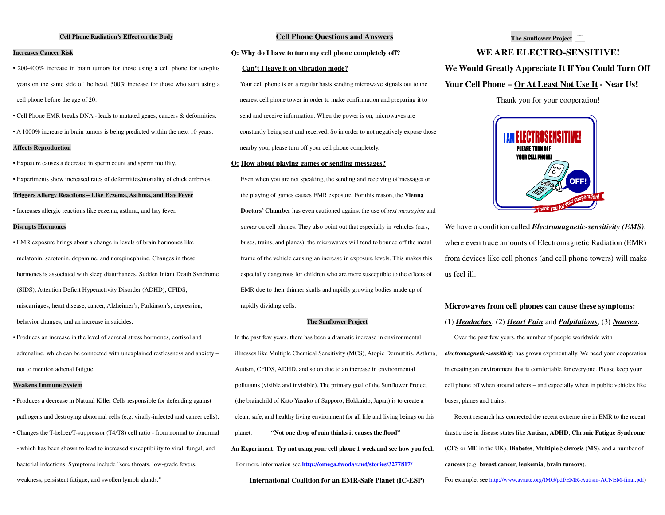#### **Cell Phone Radiation's Effect on the Body**

# **Increases Cancer Risk**

• 200-400% increase in brain tumors for those using a cell phone for ten-plus years on the same side of the head. 500% increase for those who start using a cell phone before the age of 20.

• Cell Phone EMR breaks DNA - leads to mutated genes, cancers & deformities.

• A 1000% increase in brain tumors is being predicted within the next 10 years.

# **Affects Reproduction**

• Exposure causes a decrease in sperm count and sperm motility.

• Experiments show increased rates of deformities/mortality of chick embryos.

## **Triggers Allergy Reactions – Like Eczema, Asthma, and Hay Fever**

• Increases allergic reactions like eczema, asthma, and hay fever.

# **Disrupts Hormones**

• EMR exposure brings about a change in levels of brain hormones like melatonin, serotonin, dopamine, and norepinephrine. Changes in these hormones is associated with sleep disturbances, Sudden Infant Death Syndrome (SIDS), Attention Deficit Hyperactivity Disorder (ADHD), CFIDS, miscarriages, heart disease, cancer, Alzheimer's, Parkinson's, depression, behavior changes, and an increase in suicides.

• Produces an increase in the level of adrenal stress hormones, cortisol and adrenaline, which can be connected with unexplained restlessness and anxiety – not to mention adrenal fatigue.

#### **Weakens Immune System**

• Produces a decrease in Natural Killer Cells responsible for defending against pathogens and destroying abnormal cells (e.g. virally-infected and cancer cells). • Changes the T-helper/T-suppressor (T4/T8) cell ratio - from normal to abnormal - which has been shown to lead to increased susceptibility to viral, fungal, and bacterial infections. Symptoms include "sore throats, low-grade fevers, weakness, persistent fatigue, and swollen lymph glands."

# **Cell Phone Questions and Answers**

# **Q: Why do I have to turn my cell phone completely off?**

#### **Can't I leave it on vibration mode?**

Your cell phone is on a regular basis sending microwave signals out to the nearest cell phone tower in order to make confirmation and preparing it to send and receive information. When the power is on, microwaves are constantly being sent and received. So in order to not negatively expose those nearby you, please turn off your cell phone completely.

#### **Q: How about playing games or sending messages?**

Even when you are not speaking, the sending and receiving of messages or the playing of games causes EMR exposure. For this reason, the **Vienna Doctors' Chamber** has even cautioned against the use of *text messaging* and *games* on cell phones. They also point out that especially in vehicles (cars, buses, trains, and planes), the microwaves will tend to bounce off the metal frame of the vehicle causing an increase in exposure levels. This makes this especially dangerous for children who are more susceptible to the effects of EMR due to their thinner skulls and rapidly growing bodies made up of rapidly dividing cells.

### **The Sunflower Project**

 In the past few years, there has been a dramatic increase in environmental illnesses like Multiple Chemical Sensitivity (MCS), Atopic Dermatitis, Asthma, Autism, CFIDS, ADHD, and so on due to an increase in environmental pollutants (visible and invisible). The primary goal of the Sunflower Project (the brainchild of Kato Yasuko of Sapporo, Hokkaido, Japan) is to create a clean, safe, and healthy living environment for all life and living beings on this planet. **"Not one drop of rain thinks it causes the flood" An Experiment: Try not using your cell phone 1 week and see how you feel.**For more information see **http://omega.twoday.net/stories/3277817/**

**International Coalition for an EMR-Safe Planet (IC-ESP)**

## **The Sunflower Project**

# **WE ARE ELECTRO-SENSITIVE!**

## **We Would Greatly Appreciate It If You Could Turn Off**

# **Your Cell Phone – Or At Least Not Use It - Near Us!**

Thank you for your cooperation!



We have a condition called *Electromagnetic-sensitivity (EMS)*, where even trace amounts of Electromagnetic Radiation (EMR) from devices like cell phones (and cell phone towers) will make us feel ill.

#### **Microwaves from cell phones can cause these symptoms:**

# (1) *Headaches*, (2) *Heart Pain* and *Palpitations*, (3**)** *Nausea***.**

Over the past few years, the number of people worldwide with *electromagnetic-sensitivity* has grown exponentially. We need your cooperation in creating an environment that is comfortable for everyone. Please keep your cell phone off when around others – and especially when in public vehicles like buses, planes and trains.

 Recent research has connected the recent extreme rise in EMR to the recent drastic rise in disease states like **Autism**, **ADHD**, **Chronic Fatigue Syndrome** (**CFS** or **ME** in the UK), **Diabetes**, **Multiple Sclerosis** (**MS**), and a number of **cancers** (e.g. **breast cancer**, **leukemia**, **brain tumors**).

For example, see http://www.avaate.org/IMG/pdf/EMR-Autism-ACNEM-final.pdf)